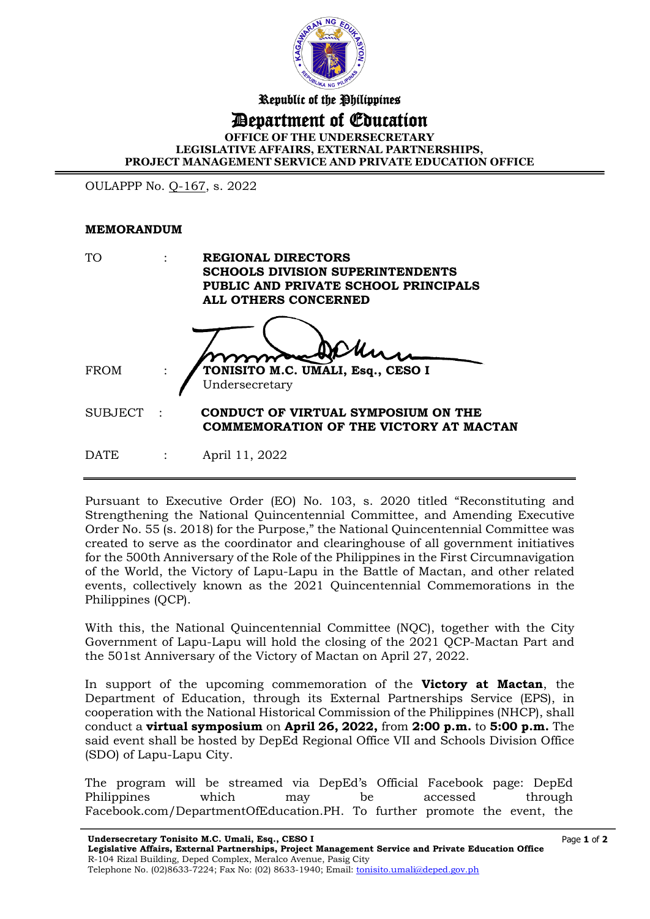

Republic of the Philippines

## Department of Education

**OFFICE OF THE UNDERSECRETARY LEGISLATIVE AFFAIRS, EXTERNAL PARTNERSHIPS, PROJECT MANAGEMENT SERVICE AND PRIVATE EDUCATION OFFICE**

I

OULAPPP No. Q-167, s. 2022

## **MEMORANDUM**

| <b>TO</b>      | <b>REGIONAL DIRECTORS</b><br><b>SCHOOLS DIVISION SUPERINTENDENTS</b><br>PUBLIC AND PRIVATE SCHOOL PRINCIPALS<br>ALL OTHERS CONCERNED |                                                                               |  |  |
|----------------|--------------------------------------------------------------------------------------------------------------------------------------|-------------------------------------------------------------------------------|--|--|
| <b>FROM</b>    |                                                                                                                                      | TONISITO M.C. UMALI, Esq., CESO I<br>Undersecretary                           |  |  |
| <b>SUBJECT</b> |                                                                                                                                      | CONDUCT OF VIRTUAL SYMPOSIUM ON THE<br>COMMEMORATION OF THE VICTORY AT MACTAN |  |  |
| <b>DATE</b>    |                                                                                                                                      | April 11, 2022                                                                |  |  |

Pursuant to Executive Order (EO) No. 103, s. 2020 titled "Reconstituting and Strengthening the National Quincentennial Committee, and Amending Executive Order No. 55 (s. 2018) for the Purpose," the National Quincentennial Committee was created to serve as the coordinator and clearinghouse of all government initiatives for the 500th Anniversary of the Role of the Philippines in the First Circumnavigation of the World, the Victory of Lapu-Lapu in the Battle of Mactan, and other related events, collectively known as the 2021 Quincentennial Commemorations in the Philippines (QCP).

With this, the National Quincentennial Committee (NQC), together with the City Government of Lapu-Lapu will hold the closing of the 2021 QCP-Mactan Part and the 501st Anniversary of the Victory of Mactan on April 27, 2022.

In support of the upcoming commemoration of the **Victory at Mactan**, the Department of Education, through its External Partnerships Service (EPS), in cooperation with the National Historical Commission of the Philippines (NHCP), shall conduct a **virtual symposium** on **April 26, 2022,** from **2:00 p.m.** to **5:00 p.m.** The said event shall be hosted by DepEd Regional Office VII and Schools Division Office (SDO) of Lapu-Lapu City.

The program will be streamed via DepEd's Official Facebook page: DepEd Philippines which may be accessed through Facebook.com/DepartmentOfEducation.PH. To further promote the event, the